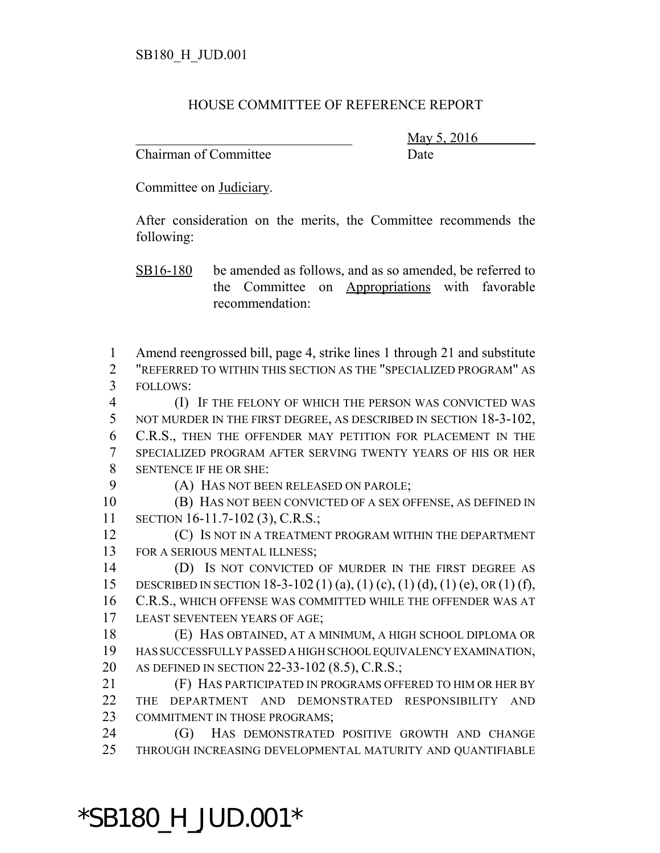## HOUSE COMMITTEE OF REFERENCE REPORT

Chairman of Committee Date

\_\_\_\_\_\_\_\_\_\_\_\_\_\_\_\_\_\_\_\_\_\_\_\_\_\_\_\_\_\_\_ May 5, 2016

Committee on Judiciary.

After consideration on the merits, the Committee recommends the following:

SB16-180 be amended as follows, and as so amended, be referred to the Committee on Appropriations with favorable recommendation:

1 Amend reengrossed bill, page 4, strike lines 1 through 21 and substitute 2 "REFERRED TO WITHIN THIS SECTION AS THE "SPECIALIZED PROGRAM" AS 3 FOLLOWS:

 (I) IF THE FELONY OF WHICH THE PERSON WAS CONVICTED WAS 5 NOT MURDER IN THE FIRST DEGREE, AS DESCRIBED IN SECTION 18-3-102, C.R.S., THEN THE OFFENDER MAY PETITION FOR PLACEMENT IN THE SPECIALIZED PROGRAM AFTER SERVING TWENTY YEARS OF HIS OR HER SENTENCE IF HE OR SHE:

9 (A) HAS NOT BEEN RELEASED ON PAROLE;

10 (B) HAS NOT BEEN CONVICTED OF A SEX OFFENSE, AS DEFINED IN 11 SECTION 16-11.7-102 (3), C.R.S.;

12 **(C) IS NOT IN A TREATMENT PROGRAM WITHIN THE DEPARTMENT** 13 FOR A SERIOUS MENTAL ILLNESS;

14 (D) Is not convicted of murder in the first degree as 15 DESCRIBED IN SECTION 18-3-102 (1) (a), (1) (c), (1) (d), (1) (e), OR (1) (f), 16 C.R.S., WHICH OFFENSE WAS COMMITTED WHILE THE OFFENDER WAS AT 17 LEAST SEVENTEEN YEARS OF AGE;

18 (E) HAS OBTAINED, AT A MINIMUM, A HIGH SCHOOL DIPLOMA OR 19 HAS SUCCESSFULLY PASSED A HIGH SCHOOL EQUIVALENCY EXAMINATION, 20 AS DEFINED IN SECTION 22-33-102 (8.5), C.R.S.;

21 (F) HAS PARTICIPATED IN PROGRAMS OFFERED TO HIM OR HER BY 22 THE DEPARTMENT AND DEMONSTRATED RESPONSIBILITY AND 23 COMMITMENT IN THOSE PROGRAMS;

24 (G) HAS DEMONSTRATED POSITIVE GROWTH AND CHANGE 25 THROUGH INCREASING DEVELOPMENTAL MATURITY AND QUANTIFIABLE

\*SB180\_H\_JUD.001\*